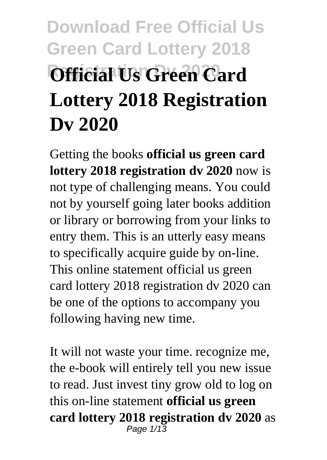# **Download Free Official Us Green Card Lottery 2018 Official Us Green Card Lottery 2018 Registration Dv 2020**

Getting the books **official us green card lottery 2018 registration dv 2020** now is not type of challenging means. You could not by yourself going later books addition or library or borrowing from your links to entry them. This is an utterly easy means to specifically acquire guide by on-line. This online statement official us green card lottery 2018 registration dv 2020 can be one of the options to accompany you following having new time.

It will not waste your time. recognize me, the e-book will entirely tell you new issue to read. Just invest tiny grow old to log on this on-line statement **official us green card lottery 2018 registration dv 2020** as Page  $1/13$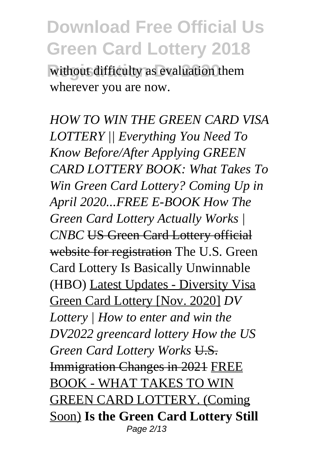without difficulty as evaluation them wherever you are now.

*HOW TO WIN THE GREEN CARD VISA LOTTERY || Everything You Need To Know Before/After Applying GREEN CARD LOTTERY BOOK: What Takes To Win Green Card Lottery? Coming Up in April 2020...FREE E-BOOK How The Green Card Lottery Actually Works |* **CNBC** US Green Card Lottery official website for registration The U.S. Green Card Lottery Is Basically Unwinnable (HBO) Latest Updates - Diversity Visa Green Card Lottery [Nov. 2020] *DV Lottery | How to enter and win the DV2022 greencard lottery How the US Green Card Lottery Works* U.S. Immigration Changes in 2021 FREE BOOK - WHAT TAKES TO WIN GREEN CARD LOTTERY. (Coming Soon) **Is the Green Card Lottery Still** Page 2/13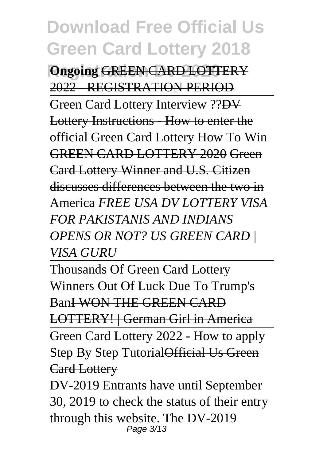*<u>Ongoing GREEN CARD LOTTERY</u>* 2022 - REGISTRATION PERIOD Green Card Lottery Interview ??DV Lottery Instructions - How to enter the official Green Card Lottery How To Win GREEN CARD LOTTERY 2020 Green Card Lottery Winner and U.S. Citizen discusses differences between the two in America *FREE USA DV LOTTERY VISA FOR PAKISTANIS AND INDIANS OPENS OR NOT? US GREEN CARD | VISA GURU*

Thousands Of Green Card Lottery Winners Out Of Luck Due To Trump's BanI WON THE GREEN CARD LOTTERY! | German Girl in America Green Card Lottery 2022 - How to apply Step By Step Tutorial Official Us Green Card Lottery

DV-2019 Entrants have until September 30, 2019 to check the status of their entry through this website. The DV-2019 Page 3/13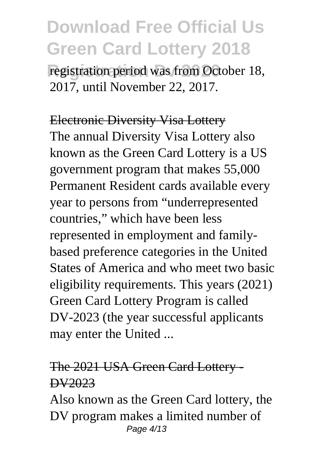registration period was from October 18, 2017, until November 22, 2017.

Electronic Diversity Visa Lottery The annual Diversity Visa Lottery also known as the Green Card Lottery is a US government program that makes 55,000 Permanent Resident cards available every year to persons from "underrepresented countries," which have been less represented in employment and familybased preference categories in the United States of America and who meet two basic eligibility requirements. This years (2021) Green Card Lottery Program is called DV-2023 (the year successful applicants may enter the United ...

#### The 2021 USA Green Card Lottery - DV2023

Also known as the Green Card lottery, the DV program makes a limited number of Page 4/13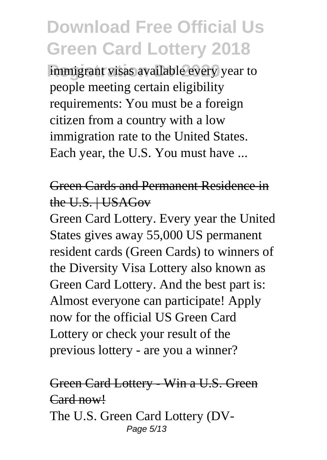immigrant visas available every year to people meeting certain eligibility requirements: You must be a foreign citizen from a country with a low immigration rate to the United States. Each year, the U.S. You must have ...

#### Green Cards and Permanent Residence in the U.S. | USAGov

Green Card Lottery. Every year the United States gives away 55,000 US permanent resident cards (Green Cards) to winners of the Diversity Visa Lottery also known as Green Card Lottery. And the best part is: Almost everyone can participate! Apply now for the official US Green Card Lottery or check your result of the previous lottery - are you a winner?

#### Green Card Lottery - Win a U.S. Green Card now! The U.S. Green Card Lottery (DV-Page 5/13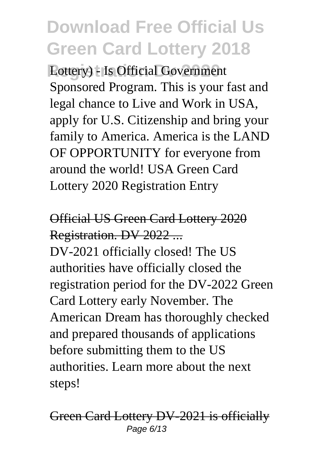**Reflective 2020** Lottery) - Is Official Government Sponsored Program. This is your fast and legal chance to Live and Work in USA, apply for U.S. Citizenship and bring your family to America. America is the LAND OF OPPORTUNITY for everyone from around the world! USA Green Card Lottery 2020 Registration Entry

### Official US Green Card Lottery 2020 Registration. DV 2022 ...

DV-2021 officially closed! The US authorities have officially closed the registration period for the DV-2022 Green Card Lottery early November. The American Dream has thoroughly checked and prepared thousands of applications before submitting them to the US authorities. Learn more about the next steps!

#### Green Card Lottery DV-2021 is officially Page 6/13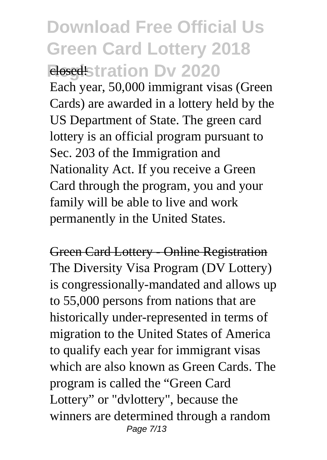## **Download Free Official Us Green Card Lottery 2018 Registration Dy 2020** Each year, 50,000 immigrant visas (Green

Cards) are awarded in a lottery held by the US Department of State. The green card lottery is an official program pursuant to Sec. 203 of the Immigration and Nationality Act. If you receive a Green Card through the program, you and your family will be able to live and work permanently in the United States.

Green Card Lottery - Online Registration The Diversity Visa Program (DV Lottery) is congressionally-mandated and allows up to 55,000 persons from nations that are historically under-represented in terms of migration to the United States of America to qualify each year for immigrant visas which are also known as Green Cards. The program is called the "Green Card Lottery" or "dvlottery", because the winners are determined through a random Page 7/13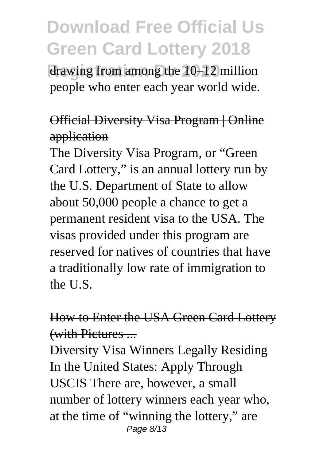drawing from among the 10–12 million people who enter each year world wide.

#### Official Diversity Visa Program | Online application

The Diversity Visa Program, or "Green Card Lottery," is an annual lottery run by the U.S. Department of State to allow about 50,000 people a chance to get a permanent resident visa to the USA. The visas provided under this program are reserved for natives of countries that have a traditionally low rate of immigration to the U.S.

#### How to Enter the USA Green Card Lottery (with Pictures ...

Diversity Visa Winners Legally Residing In the United States: Apply Through USCIS There are, however, a small number of lottery winners each year who, at the time of "winning the lottery," are Page 8/13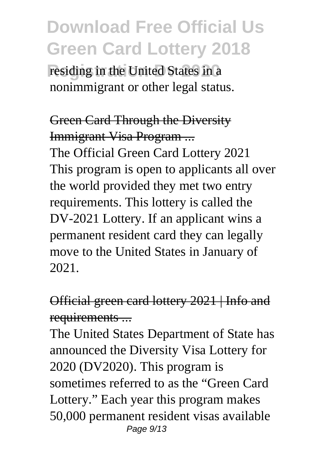residing in the United States in a nonimmigrant or other legal status.

Green Card Through the Diversity Immigrant Visa Program ... The Official Green Card Lottery 2021 This program is open to applicants all over the world provided they met two entry requirements. This lottery is called the DV-2021 Lottery. If an applicant wins a permanent resident card they can legally move to the United States in January of 2021.

### Official green card lottery 2021 | Info and requirements ...

The United States Department of State has announced the Diversity Visa Lottery for 2020 (DV2020). This program is sometimes referred to as the "Green Card Lottery." Each year this program makes 50,000 permanent resident visas available Page 9/13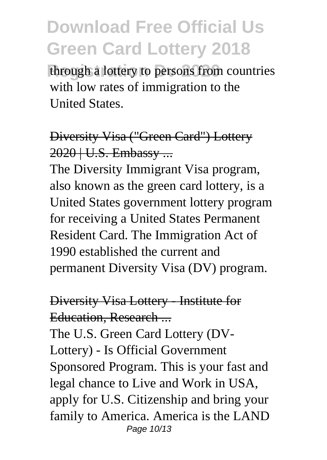through a lottery to persons from countries with low rates of immigration to the United States.

#### Diversity Visa ("Green Card") Lottery 2020 | U.S. Embassy ...

The Diversity Immigrant Visa program, also known as the green card lottery, is a United States government lottery program for receiving a United States Permanent Resident Card. The Immigration Act of 1990 established the current and permanent Diversity Visa (DV) program.

#### Diversity Visa Lottery - Institute for Education, Research ...

The U.S. Green Card Lottery (DV-Lottery) - Is Official Government Sponsored Program. This is your fast and legal chance to Live and Work in USA, apply for U.S. Citizenship and bring your family to America. America is the LAND Page 10/13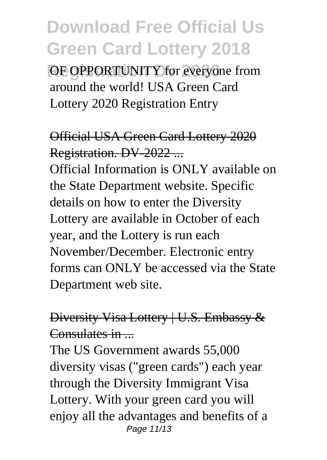**OF OPPORTUNITY for everyone from** around the world! USA Green Card Lottery 2020 Registration Entry

### Official USA Green Card Lottery 2020 Registration. DV-2022 ...

Official Information is ONLY available on the State Department website. Specific details on how to enter the Diversity Lottery are available in October of each year, and the Lottery is run each November/December. Electronic entry forms can ONLY be accessed via the State Department web site.

#### Diversity Visa Lottery | U.S. Embassy & Consulates in  $\blacksquare$

The US Government awards 55,000 diversity visas ("green cards") each year through the Diversity Immigrant Visa Lottery. With your green card you will enjoy all the advantages and benefits of a Page 11/13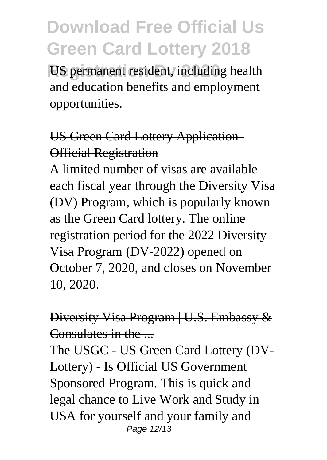**US permanent resident, including health** and education benefits and employment opportunities.

#### US Green Card Lottery Application Official Registration

A limited number of visas are available each fiscal year through the Diversity Visa (DV) Program, which is popularly known as the Green Card lottery. The online registration period for the 2022 Diversity Visa Program (DV-2022) opened on October 7, 2020, and closes on November 10, 2020.

#### Diversity Visa Program | U.S. Embassy & Consulates in the ...

The USGC - US Green Card Lottery (DV-Lottery) - Is Official US Government Sponsored Program. This is quick and legal chance to Live Work and Study in USA for yourself and your family and Page 12/13